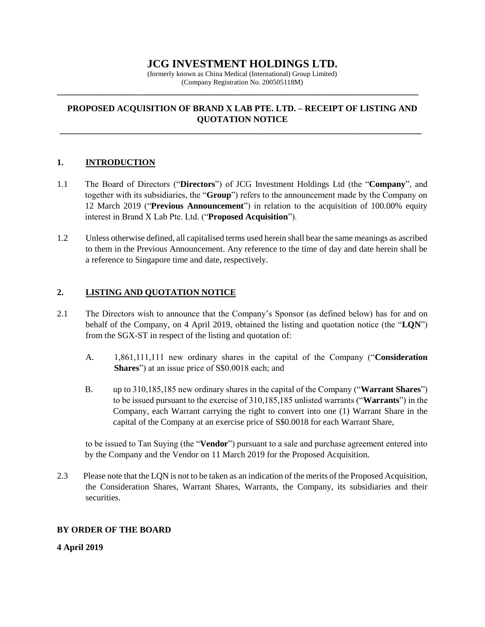# **JCG INVESTMENT HOLDINGS LTD.**

(formerly known as China Medical (International) Group Limited) (Company Registration No. 200505118M)

**\_\_\_\_\_\_\_\_\_\_\_\_\_\_\_\_\_\_\_\_\_\_\_\_\_\_\_\_\_\_\_\_\_\_\_\_\_\_\_\_\_\_\_\_\_\_\_\_\_\_\_\_\_\_\_\_\_\_\_\_\_\_\_\_\_\_\_\_\_\_\_\_\_\_\_\_\_\_\_\_\_\_\_**

## **PROPOSED ACQUISITION OF BRAND X LAB PTE. LTD. – RECEIPT OF LISTING AND QUOTATION NOTICE**

**\_\_\_\_\_\_\_\_\_\_\_\_\_\_\_\_\_\_\_\_\_\_\_\_\_\_\_\_\_\_\_\_\_\_\_\_\_\_\_\_\_\_\_\_\_\_\_\_\_\_\_\_\_\_\_\_\_\_\_\_\_\_\_\_\_\_\_\_\_\_\_\_\_\_\_\_\_\_\_\_\_\_\_**

#### **1. INTRODUCTION**

- 1.1 The Board of Directors ("**Directors**") of JCG Investment Holdings Ltd (the "**Company**", and together with its subsidiaries, the "**Group**") refers to the announcement made by the Company on 12 March 2019 ("**Previous Announcement**") in relation to the acquisition of 100.00% equity interest in Brand X Lab Pte. Ltd. ("**Proposed Acquisition**").
- 1.2 Unless otherwise defined, all capitalised terms used herein shall bear the same meanings as ascribed to them in the Previous Announcement. Any reference to the time of day and date herein shall be a reference to Singapore time and date, respectively.

## **2. LISTING AND QUOTATION NOTICE**

- 2.1 The Directors wish to announce that the Company's Sponsor (as defined below) has for and on behalf of the Company, on 4 April 2019, obtained the listing and quotation notice (the "**LQN**") from the SGX-ST in respect of the listing and quotation of:
	- A. 1,861,111,111 new ordinary shares in the capital of the Company ("**Consideration Shares**") at an issue price of S\$0.0018 each; and
	- B. up to 310,185,185 new ordinary shares in the capital of the Company ("**Warrant Shares**") to be issued pursuant to the exercise of 310,185,185 unlisted warrants ("**Warrants**") in the Company, each Warrant carrying the right to convert into one (1) Warrant Share in the capital of the Company at an exercise price of S\$0.0018 for each Warrant Share,

to be issued to Tan Suying (the "**Vendor**") pursuant to a sale and purchase agreement entered into by the Company and the Vendor on 11 March 2019 for the Proposed Acquisition.

2.3 Please note that the LQN is not to be taken as an indication of the merits of the Proposed Acquisition, the Consideration Shares, Warrant Shares, Warrants, the Company, its subsidiaries and their securities.

#### **BY ORDER OF THE BOARD**

**4 April 2019**